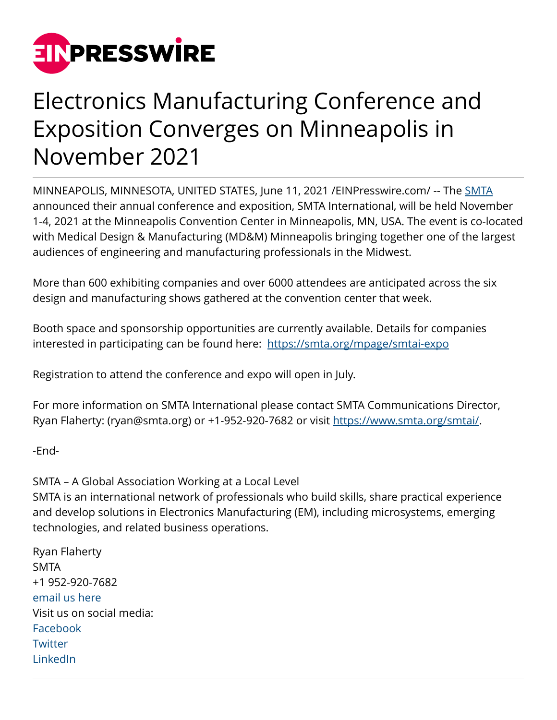

## Electronics Manufacturing Conference and Exposition Converges on Minneapolis in November 2021

MINNEAPOLIS, MINNESOTA, UNITED STATES, June 11, 2021 /[EINPresswire.com](http://www.einpresswire.com)/ -- The [SMTA](https://www.smta.org/) announced their annual conference and exposition, SMTA International, will be held November 1-4, 2021 at the Minneapolis Convention Center in Minneapolis, MN, USA. The event is co-located with Medical Design & Manufacturing (MD&M) Minneapolis bringing together one of the largest audiences of engineering and manufacturing professionals in the Midwest.

More than 600 exhibiting companies and over 6000 attendees are anticipated across the six design and manufacturing shows gathered at the convention center that week.

Booth space and sponsorship opportunities are currently available. Details for companies interested in participating can be found here: <https://smta.org/mpage/smtai-expo>

Registration to attend the conference and expo will open in July.

For more information on SMTA International please contact SMTA Communications Director, Ryan Flaherty: (ryan@smta.org) or +1-952-920-7682 or visit [https://www.smta.org/smtai/.](https://www.smta.org/smtai/)

-End-

SMTA – A Global Association Working at a Local Level SMTA is an international network of professionals who build skills, share practical experience and develop solutions in Electronics Manufacturing (EM), including microsystems, emerging technologies, and related business operations.

Ryan Flaherty SMTA +1 952-920-7682 [email us here](http://www.einpresswire.com/contact_author/3105044) Visit us on social media: [Facebook](https://www.facebook.com/SMTAorg) **[Twitter](https://twitter.com/SMTAorg)** [LinkedIn](https://www.linkedin.com/groups/49934/)